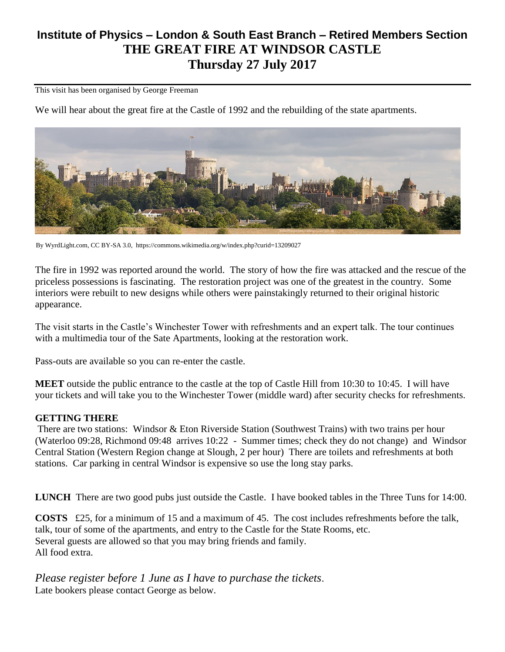## **Institute of Physics – London & South East Branch – Retired Members Section THE GREAT FIRE AT WINDSOR CASTLE Thursday 27 July 2017**

This visit has been organised by George Freeman

We will hear about the great fire at the Castle of 1992 and the rebuilding of the state apartments.



By WyrdLight.com, CC BY-SA 3.0, https://commons.wikimedia.org/w/index.php?curid=13209027

The fire in 1992 was reported around the world. The story of how the fire was attacked and the rescue of the priceless possessions is fascinating. The restoration project was one of the greatest in the country. Some interiors were rebuilt to new designs while others were painstakingly returned to their original historic appearance.

The visit starts in the Castle's Winchester Tower with refreshments and an expert talk. The tour continues with a multimedia tour of the Sate Apartments, looking at the restoration work.

Pass-outs are available so you can re-enter the castle.

**MEET** outside the public entrance to the castle at the top of Castle Hill from 10:30 to 10:45. I will have your tickets and will take you to the Winchester Tower (middle ward) after security checks for refreshments.

## **GETTING THERE**

There are two stations: Windsor & Eton Riverside Station (Southwest Trains) with two trains per hour (Waterloo 09:28, Richmond 09:48 arrives 10:22 - Summer times; check they do not change) and Windsor Central Station (Western Region change at Slough, 2 per hour) There are toilets and refreshments at both stations. Car parking in central Windsor is expensive so use the long stay parks.

**LUNCH** There are two good pubs just outside the Castle. I have booked tables in the Three Tuns for 14:00.

**COSTS** £25, for a minimum of 15 and a maximum of 45. The cost includes refreshments before the talk, talk, tour of some of the apartments, and entry to the Castle for the State Rooms, etc. Several guests are allowed so that you may bring friends and family. All food extra.

*Please register before 1 June as I have to purchase the tickets*. Late bookers please contact George as below.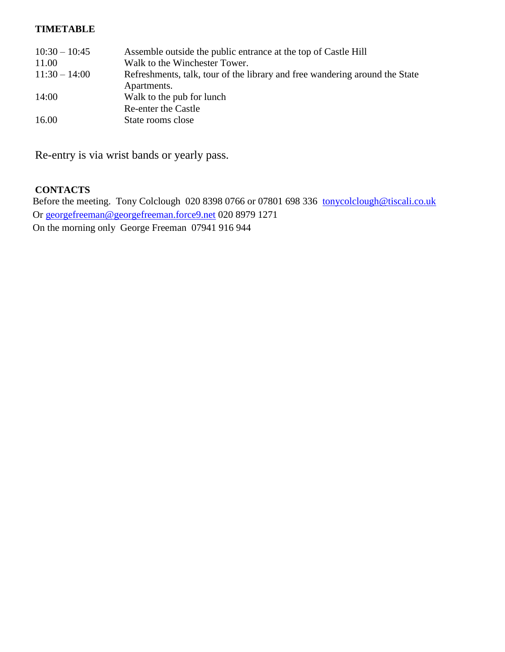## **TIMETABLE**

| $10:30 - 10:45$ | Assemble outside the public entrance at the top of Castle Hill              |
|-----------------|-----------------------------------------------------------------------------|
| 11.00           | Walk to the Winchester Tower.                                               |
| $11:30 - 14:00$ | Refreshments, talk, tour of the library and free wandering around the State |
|                 | Apartments.                                                                 |
| 14:00           | Walk to the pub for lunch                                                   |
|                 | <b>Re-enter the Castle</b>                                                  |
| 16.00           | State rooms close                                                           |

Re-entry is via wrist bands or yearly pass.

## **CONTACTS**

Before the meeting. Tony Colclough 020 8398 0766 or 07801 698 336 [tonycolclough@tiscali.co.uk](mailto:tonycolclough@tiscali.co.uk) Or [georgefreeman@georgefreeman.force9.net](mailto:georgefreeman@georgefreeman.force9.net) 020 8979 1271 On the morning only George Freeman 07941 916 944